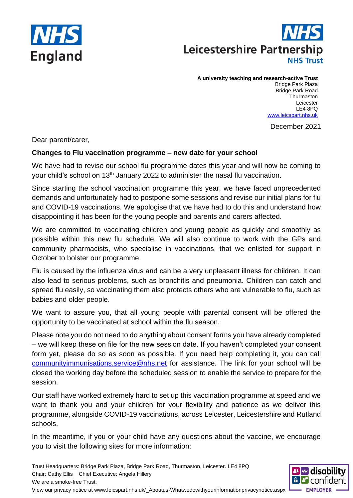



## **A university teaching and research-active Trust**

Bridge Park Plaza Bridge Park Road **Thurmaston** Leicester LE4 8PQ [www.leicspart.nhs.uk](http://www.leicspart.nhs.uk/)

December 2021

Dear parent/carer,

## **Changes to Flu vaccination programme – new date for your school**

We have had to revise our school flu programme dates this year and will now be coming to your child's school on 13<sup>th</sup> January 2022 to administer the nasal flu vaccination.

Since starting the school vaccination programme this year, we have faced unprecedented demands and unfortunately had to postpone some sessions and revise our initial plans for flu and COVID-19 vaccinations. We apologise that we have had to do this and understand how disappointing it has been for the young people and parents and carers affected.

We are committed to vaccinating children and young people as quickly and smoothly as possible within this new flu schedule. We will also continue to work with the GPs and community pharmacists, who specialise in vaccinations, that we enlisted for support in October to bolster our programme.

Flu is caused by the influenza virus and can be a very unpleasant illness for children. It can also lead to serious problems, such as bronchitis and pneumonia. Children can catch and spread flu easily, so vaccinating them also protects others who are vulnerable to flu, such as babies and older people.

We want to assure you, that all young people with parental consent will be offered the opportunity to be vaccinated at school within the flu season.

Please note you do not need to do anything about consent forms you have already completed – we will keep these on file for the new session date. If you haven't completed your consent form yet, please do so as soon as possible. If you need help completing it, you can call [communityimmunisations.service@nhs.net](mailto:communityimmunisations.service@nhs.net) for assistance. The link for your school will be closed the working day before the scheduled session to enable the service to prepare for the session.

Our staff have worked extremely hard to set up this vaccination programme at speed and we want to thank you and your children for your flexibility and patience as we deliver this programme, alongside COVID-19 vaccinations, across Leicester, Leicestershire and Rutland schools.

In the meantime, if you or your child have any questions about the vaccine, we encourage you to visit the following sites for more information:

Trust Headquarters: Bridge Park Plaza, Bridge Park Road, Thurmaston, Leicester. LE4 8PQ Chair: Cathy Ellis Chief Executive: Angela Hillery We are a smoke-free Trust. View our privacy notice at www.leicspart.nhs.uk/\_Aboutus-Whatwedowithyourinformationprivacynotice.aspx